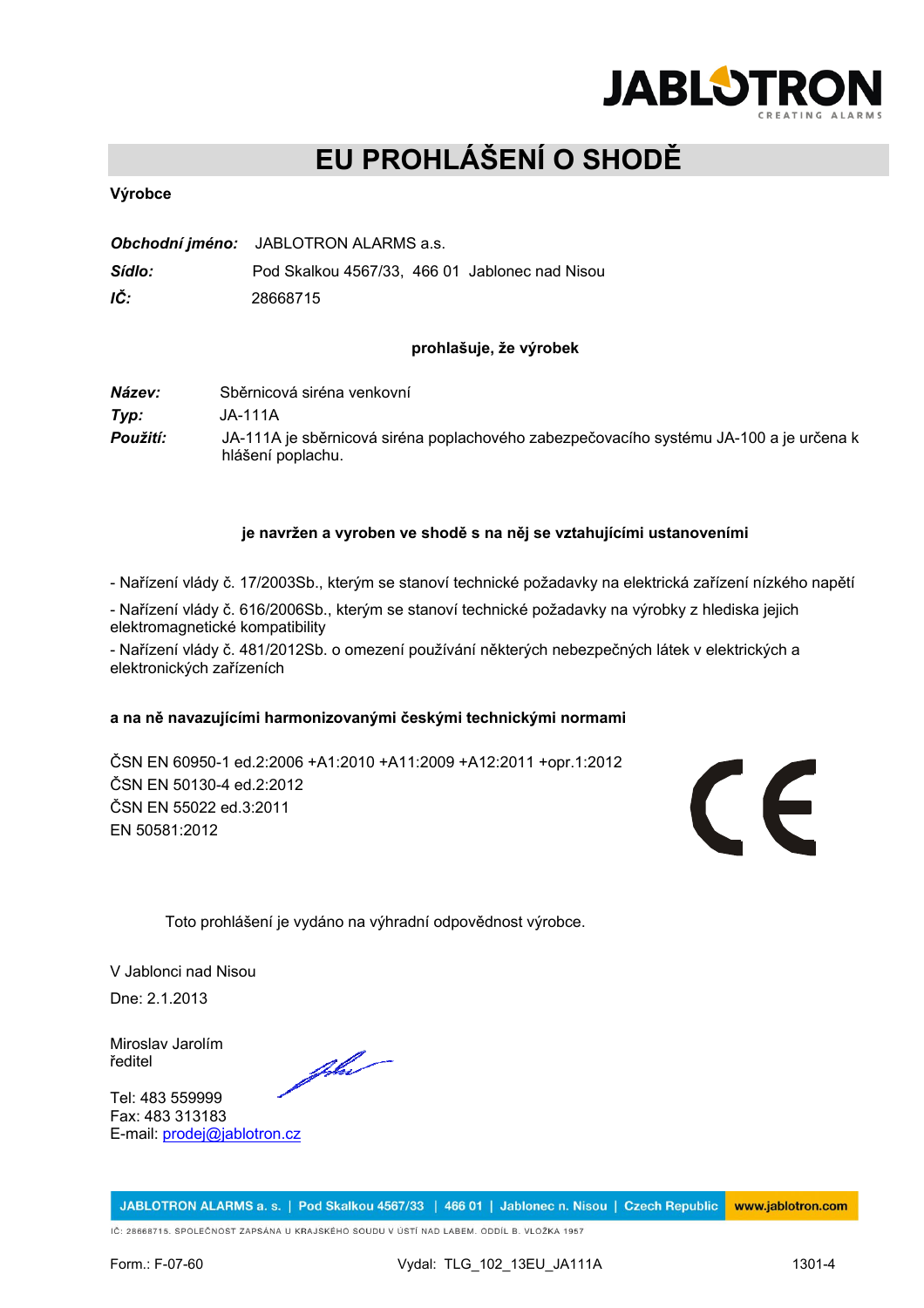

# **EU PROHLÁŠENÍ O SHODĚ**

### **Výrobce**

|        | Obchodní jméno: JABLOTRON ALARMS a.s.          |
|--------|------------------------------------------------|
| Sídlo: | Pod Skalkou 4567/33. 466 01 Jablonec nad Nisou |
| IČ:    | 28668715                                       |

#### **prohlašuje, že výrobek**

*Název:* Sběrnicová siréna venkovní *Typ:* JA-111A *Použití:* JA-111A je sběrnicová siréna poplachového zabezpečovacího systému JA-100 a je určena k hlášení poplachu.

#### **je navržen a vyroben ve shodě s na něj se vztahujícími ustanoveními**

- Nařízení vlády č. 17/2003Sb., kterým se stanoví technické požadavky na elektrická zařízení nízkého napětí

- Nařízení vlády č. 616/2006Sb., kterým se stanoví technické požadavky na výrobky z hlediska jejich elektromagnetické kompatibility

- Nařízení vlády č. 481/2012Sb. o omezení používání některých nebezpečných látek v elektrických a elektronických zařízeních

#### **a na ně navazujícími harmonizovanými českými technickými normami**

ČSN EN 60950-1 ed.2:2006 +A1:2010 +A11:2009 +A12:2011 +opr.1:2012 ČSN EN 50130-4 ed.2:2012 ČSN EN 55022 ed.3:2011 EN 50581:2012



Toto prohlášení je vydáno na výhradní odpovědnost výrobce.

V Jablonci nad Nisou Dne: 2.1.2013

Miroslav Jarolím ředitel

Tel: 483 559999 Fax: 483 313183 E-mail: [prodej@jablotron.cz](mailto:prodej@jablotron.cz)

Jhe

JABLOTRON ALARMS a. s. | Pod Skalkou 4567/33 | 466 01 | Jablonec n. Nisou | Czech Republic www.jablotron.com

IČ: 28668715. SPOLEČNOST ZAPSÁNA U KRAJSKÉHO SOUDU V ÚSTÍ NAD LABEM. ODDÍL B. VLOŽKA 1957